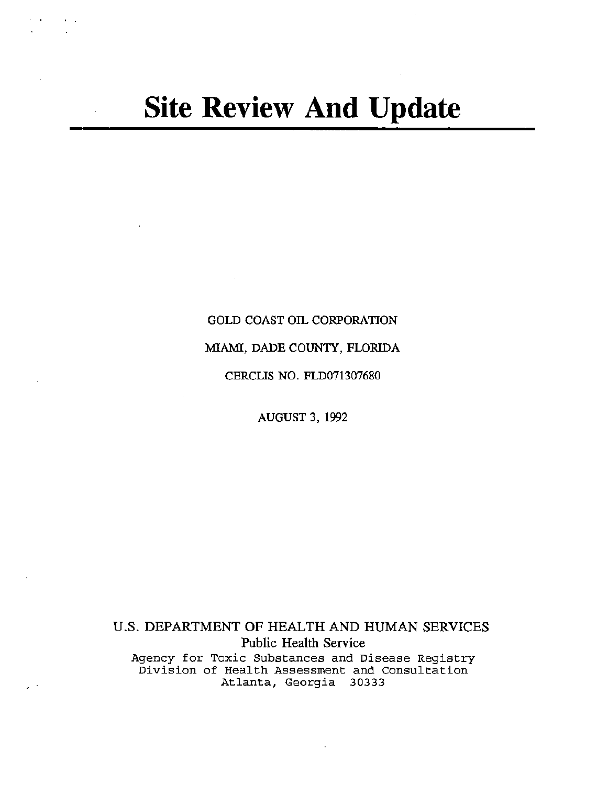# **Site Review And Update**

 $\mathcal{C}$ 

# GOLD COAST OIL CORPORATION

MIAMI, DADE COUNTY, FLORIDA

CERCLIS NO. FLD071307680

AUGUST 3, 1992

U.S. DEPARTMENT OF HEALTH AND HUMAN SERVICES Public Health Service Agency for Toxic Substances and Disease Registry Division of Health Assessment and Consultation Atlanta, Georgia 30333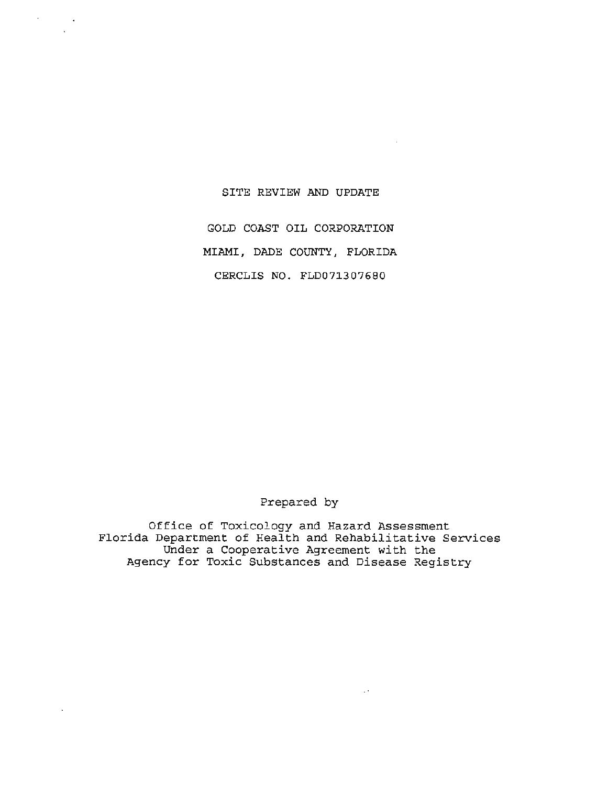#### SITE REVIEW AND UPDATE

 $\sim$   $\sim$ 

 $\alpha$  .

GOLD COAST OIL CORPORATION MIAMI, DADE COUNTY, FLORIDA CERCLIS NO. FLD071307680

Prepared by

Office of Toxicology and Hazard Assessment Florida Department of Health and Rehabilitative Services Under a Cooperative Agreement with the Agency for Toxic Substances and Disease Registry

 $\mathbb{R}^{2n}$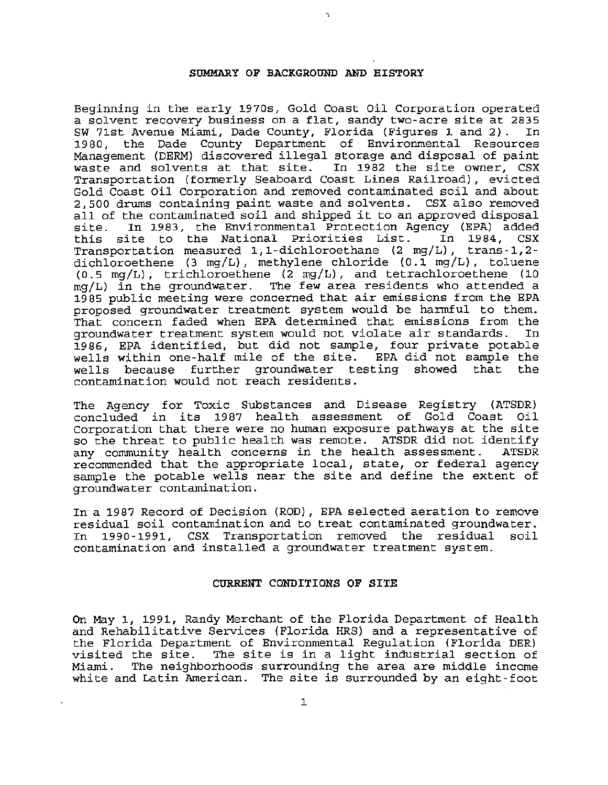# SUMMARY OF BACKGROUND AND HISTORY

Beginning in the early 1970s, Gold Coast Oil Corporation operated a solvent recovery business on a flat, sandy two-acre site at 2835<br>SW 71st Avenue Miami, Dade County, Florida (Figures 1 and 2), In SW 71st Avenue Miami, Dade County, Florida (Figures 1 and 2). 1980, the Dade County Department of Environmental Resources Management (DERM) discovered illegal storage and disposal of paint waste and solvents at that site. In 1982 the site owner, CSX Transportation (formerly Seaboard Coast Lines Railroad), evicted Gold Coast Oil Corporation and removed contaminated soil and about 2,500 drums containing paint waste and solvents. CSX also removed all of the contaminated soil and shipped it to an approved disposal<br>site. In 1983, the Environmental Protection Agency (EPA) added In 1983, the Environmental Protection Agency (EPA) added<br>ite to the National Priorities List. In 1984, CSX this site to the National Priorities List. Transportation measured 1,1-dichloroethane (2 mg/L), trans-1,2 dichloroethene (3 mg/L), methylene chloride (0.1 mg/L), toluene  $(0.5 \text{ mg/L})$ , trichloroethene  $(2 \text{ mg/L})$ , and tetrachloroethene  $(10 \text{ mg/L})$  in the groundwater. The few area residents who attended a The few area residents who attended a 1985 public meeting were concerned that air emissions from the EPA proposed groundwater treatment system would be harmful to them. That concern faded when EPA determined that emissions from the<br>groundwater treatment system would not violate air standards. In groundwater treatment system would not violate air standards. In 1986, EPA identified, but did not sample, four private potable wells within one-half mile of the site. EPA did not sample the<br>wells because further groundwater testing showed that the wells because further groundwater contamination would not reach residents.

The Agency for Toxic Substances and Disease Registry (ATSDR) concluded in its 1987 health assessment of Gold Coast Oil Corporation that there were no human exposure pathways at the site so the threat to public health was remote. ATSDR did not identify<br>any community health concerns in the health assessment. ATSDR any community health concerns in the health assessment. recommended that the appropriate local, state, or federal agency sample the potable wells near the site and define the extent of groundwater contamination .

In a 1987 Record of Decision (ROD), EPA selected aeration to remove residual soil contamination and to treat contaminated groundwater.<br>In 1990-1991, CSX Transportation removed the residual soil 1990-1991, CSX Transportation removed the contamination and installed a groundwater treatment system.

# CURRENT CONDITIONS OF SITE

On May 1, 1991, Randy Merchant of the Florida Department of Health and Rehabilitative Services (Florida HRS) and a representative of the Florida Department of Environmental Regulation (Florida DER) visited the site. The site is in a light industrial section of<br>Miami. The neighborhoods surrounding the area are middle income The neighborhoods surrounding the area are middle income white and Latin American. The site is surrounded by an eight-foot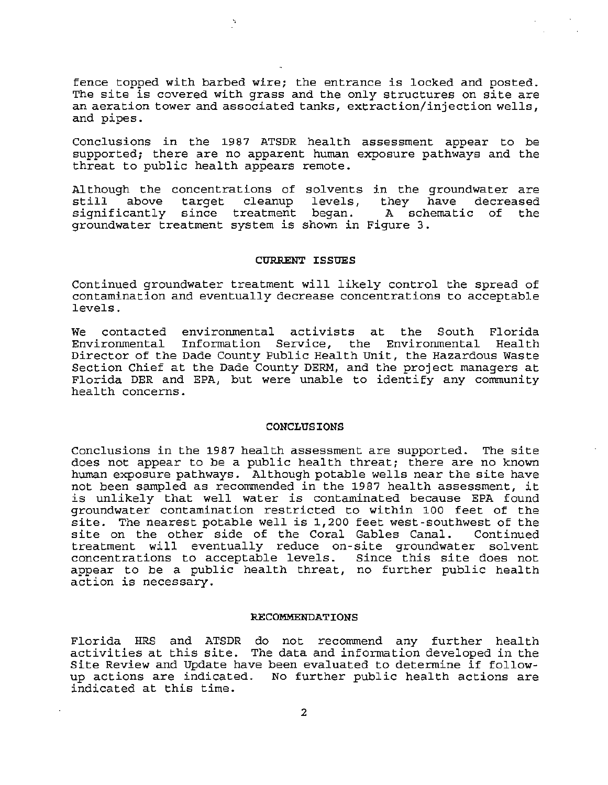fence topped with barbed wire; the entrance is locked and posted. The site is covered with grass and the only structures on site are an aeration tower and associated tanks, extraction/injection wells, and pipes.

Conclusions in the 198? ATSDR health assessment appear to be supported; there are no apparent human exposure pathways and the threat to public health appears remote.

Although the concentrations of solvents in the groundwater are still above target cleanup levels, they have decreased significantly since treatment began. groundwater treatment system is shown in Figure 3. they have decreased<br>A schematic of the

### CURRENT ISSUES

Continued groundwater treatment will likely control the spread of contamination and eventually decrease concentrations to acceptable levels.

We contacted environmental activists at the South Florida Environmental Information Service, the Environmental Health Director of the Dade County Public Health Unit, the Hazardous Waste Section Chief at the Dade County DERM, and the project managers at Florida DER and EPA, but were unable to identify any community health concerns .

#### **CONCLUSIONS**

Conclusions in the 198? health assessment are supported. The site does not appear to be a public health threat; there are no known human exposure pathways. Although potable wells near the site have not been sampled as recommended in the 198? health assessment, it is unlikely that well water is contaminated because EPA found groundwater contamination restricted to within 100 feet of the site. The nearest potable well is 1,200 feet west-southwest of the site. The heatest potable well is 1,200 feet west-southwest of the<br>site on the other side of the Coral Gables Canal. Continued treatment will eventually reduce on-site groundwater solvent concentrations to acceptable levels. Since this site does not appear to be a public health threat, no further public health action is necessary.

#### RECOMMENDATIONS

Florida HRS and ATSDR do not recommend any further health activities at this site. The data and information developed in the Site Review and Update have been evaluated to determine if followup actions are indicated. No further public health actions are indicated at this time.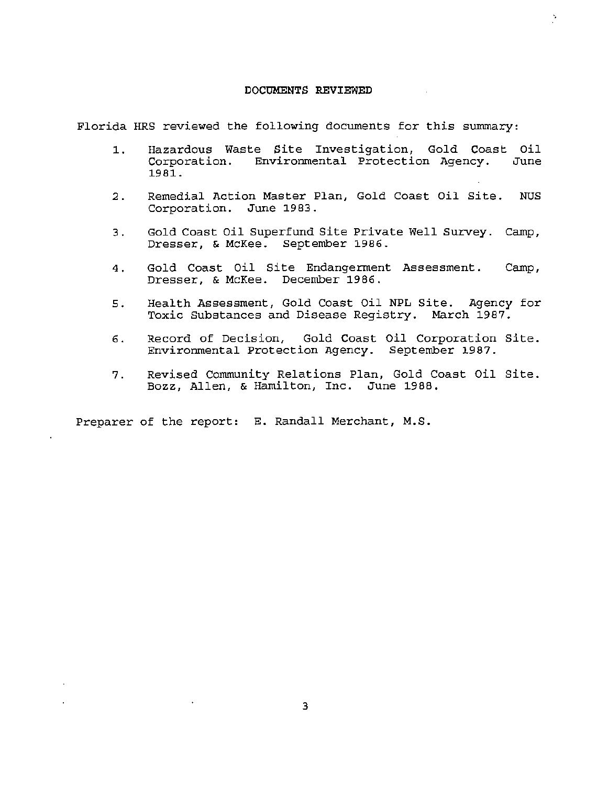#### DOCUMENTS REVIEWED

Florida HRS reviewed the following documents for this summary:

1 . Hazardous Waste Site Investigation, Gold Coast Oil Corporation. Environmental Protection Agency. 1981.

ò.

- 2. Remedial Action Master Plan, Gold Coast Oil Site. NUS Corporation. June 1983.
- 3. Gold Coast Oil Superfund Site Private Well Survey. Camp, Dresser, & McKee. September 1986.
- 4. Gold Coast Oil Site Endangerment Assessment. Camp, Dresser, & McKee. December 1986.
- 5. Health Assessment, Gold Coast Oil NPL Site. Agency for Toxic Substances and Disease Registry. March 1987.
- 6. Record of Decision, Gold Coast Oil Corporation Site. Environmental Protection Agency. September 1987.
- 7. Revised Community Relations Plan, Gold Coast Oil Site. Bozz, Allen, & Hamilton, Inc. June 1988.

Preparer of the report: E. Randall Merchant, M.S.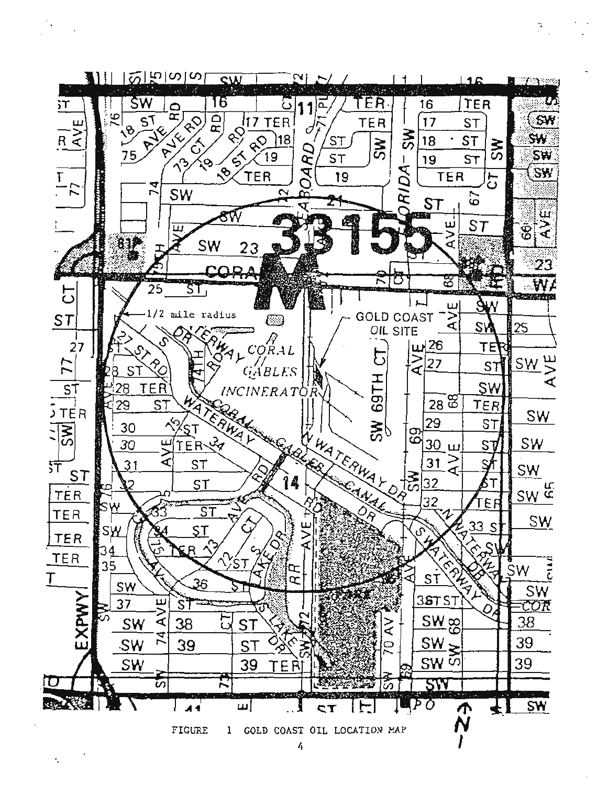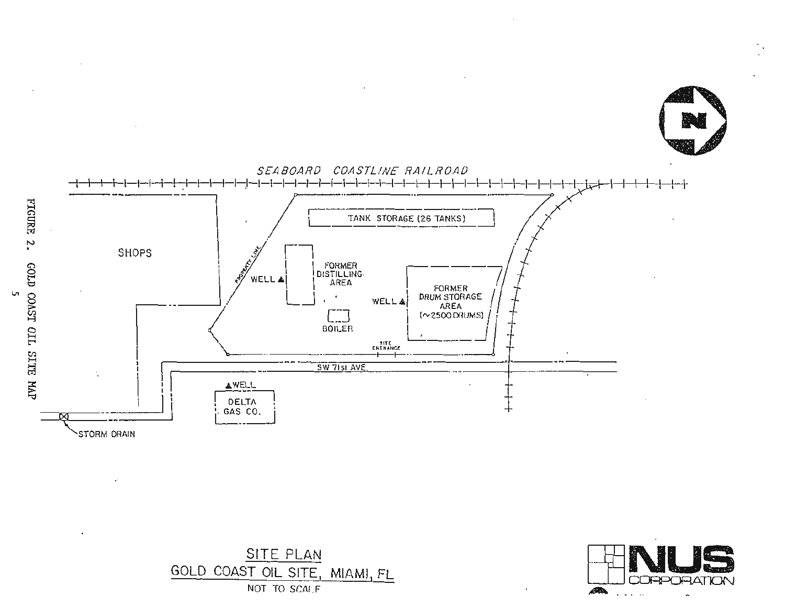





Ļп,